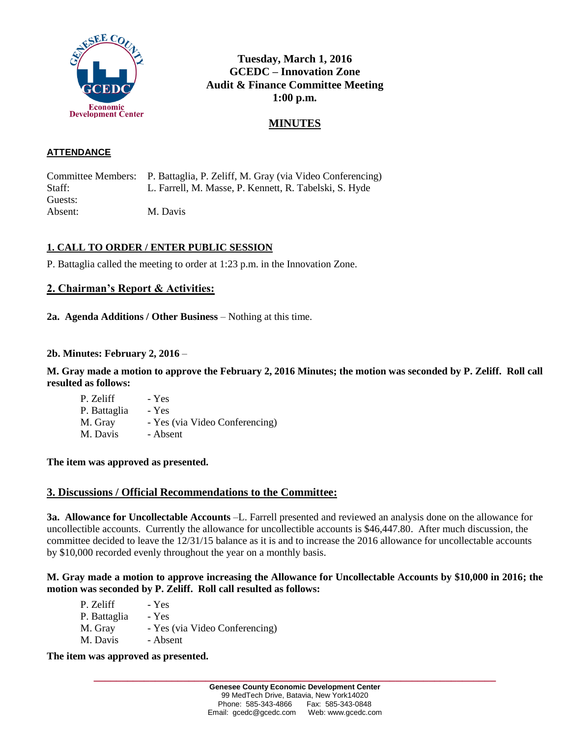

# **Tuesday, March 1, 2016 GCEDC – Innovation Zone Audit & Finance Committee Meeting 1:00 p.m.**

# **MINUTES**

#### **ATTENDANCE**

Committee Members: P. Battaglia, P. Zeliff, M. Gray (via Video Conferencing) Staff: L. Farrell, M. Masse, P. Kennett, R. Tabelski, S. Hyde Guests: Absent: M. Davis

#### **1. CALL TO ORDER / ENTER PUBLIC SESSION**

P. Battaglia called the meeting to order at 1:23 p.m. in the Innovation Zone.

### **2. Chairman's Report & Activities:**

**2a. Agenda Additions / Other Business** – Nothing at this time.

#### **2b. Minutes: February 2, 2016** –

**M. Gray made a motion to approve the February 2, 2016 Minutes; the motion was seconded by P. Zeliff. Roll call resulted as follows:**

P. Zeliff - Yes P. Battaglia - Yes M. Gray - Yes (via Video Conferencing) M. Davis - Absent

#### **The item was approved as presented.**

#### **3. Discussions / Official Recommendations to the Committee:**

**3a. Allowance for Uncollectable Accounts** –L. Farrell presented and reviewed an analysis done on the allowance for uncollectible accounts. Currently the allowance for uncollectible accounts is \$46,447.80. After much discussion, the committee decided to leave the 12/31/15 balance as it is and to increase the 2016 allowance for uncollectable accounts by \$10,000 recorded evenly throughout the year on a monthly basis.

#### **M. Gray made a motion to approve increasing the Allowance for Uncollectable Accounts by \$10,000 in 2016; the motion was seconded by P. Zeliff. Roll call resulted as follows:**

| P. Zeliff    | - Yes                          |
|--------------|--------------------------------|
| P. Battaglia | - Yes                          |
| M. Gray      | - Yes (via Video Conferencing) |
| M. Davis     | - Absent                       |

#### **The item was approved as presented.**

**\_\_\_\_\_\_\_\_\_\_\_\_\_\_\_\_\_\_\_\_\_\_\_\_\_\_\_\_\_\_\_\_\_\_\_\_\_\_\_\_\_\_\_\_\_\_\_\_\_\_\_\_\_\_\_\_\_\_\_\_\_\_\_\_\_\_\_\_\_\_\_\_**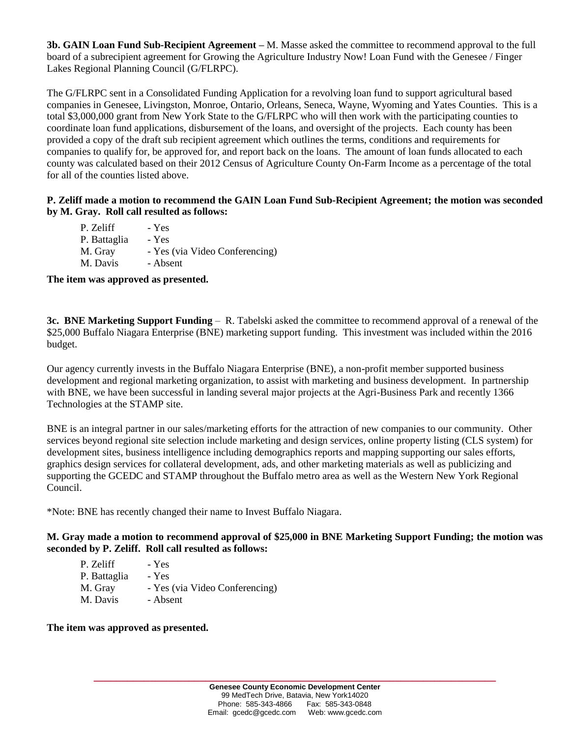**3b. GAIN Loan Fund Sub-Recipient Agreement –** M. Masse asked the committee to recommend approval to the full board of a subrecipient agreement for Growing the Agriculture Industry Now! Loan Fund with the Genesee / Finger Lakes Regional Planning Council (G/FLRPC).

The G/FLRPC sent in a Consolidated Funding Application for a revolving loan fund to support agricultural based companies in Genesee, Livingston, Monroe, Ontario, Orleans, Seneca, Wayne, Wyoming and Yates Counties. This is a total \$3,000,000 grant from New York State to the G/FLRPC who will then work with the participating counties to coordinate loan fund applications, disbursement of the loans, and oversight of the projects. Each county has been provided a copy of the draft sub recipient agreement which outlines the terms, conditions and requirements for companies to qualify for, be approved for, and report back on the loans. The amount of loan funds allocated to each county was calculated based on their 2012 Census of Agriculture County On-Farm Income as a percentage of the total for all of the counties listed above.

#### **P. Zeliff made a motion to recommend the GAIN Loan Fund Sub-Recipient Agreement; the motion was seconded by M. Gray. Roll call resulted as follows:**

| P. Zeliff    | - Yes                          |
|--------------|--------------------------------|
| P. Battaglia | - Yes                          |
| M. Gray      | - Yes (via Video Conferencing) |
| M. Davis     | - Absent                       |

**The item was approved as presented.**

**3c. BNE Marketing Support Funding** – R. Tabelski asked the committee to recommend approval of a renewal of the \$25,000 Buffalo Niagara Enterprise (BNE) marketing support funding. This investment was included within the 2016 budget.

Our agency currently invests in the Buffalo Niagara Enterprise (BNE), a non-profit member supported business development and regional marketing organization, to assist with marketing and business development. In partnership with BNE, we have been successful in landing several major projects at the Agri-Business Park and recently 1366 Technologies at the STAMP site.

BNE is an integral partner in our sales/marketing efforts for the attraction of new companies to our community. Other services beyond regional site selection include marketing and design services, online property listing (CLS system) for development sites, business intelligence including demographics reports and mapping supporting our sales efforts, graphics design services for collateral development, ads, and other marketing materials as well as publicizing and supporting the GCEDC and STAMP throughout the Buffalo metro area as well as the Western New York Regional Council.

\*Note: BNE has recently changed their name to Invest Buffalo Niagara.

**M. Gray made a motion to recommend approval of \$25,000 in BNE Marketing Support Funding; the motion was seconded by P. Zeliff. Roll call resulted as follows:**

| P. Zeliff    | - Yes                          |
|--------------|--------------------------------|
| P. Battaglia | - Yes                          |
| M. Gray      | - Yes (via Video Conferencing) |
| M. Davis     | - Absent                       |

**The item was approved as presented.**

**\_\_\_\_\_\_\_\_\_\_\_\_\_\_\_\_\_\_\_\_\_\_\_\_\_\_\_\_\_\_\_\_\_\_\_\_\_\_\_\_\_\_\_\_\_\_\_\_\_\_\_\_\_\_\_\_\_\_\_\_\_\_\_\_\_\_\_\_\_\_\_\_**